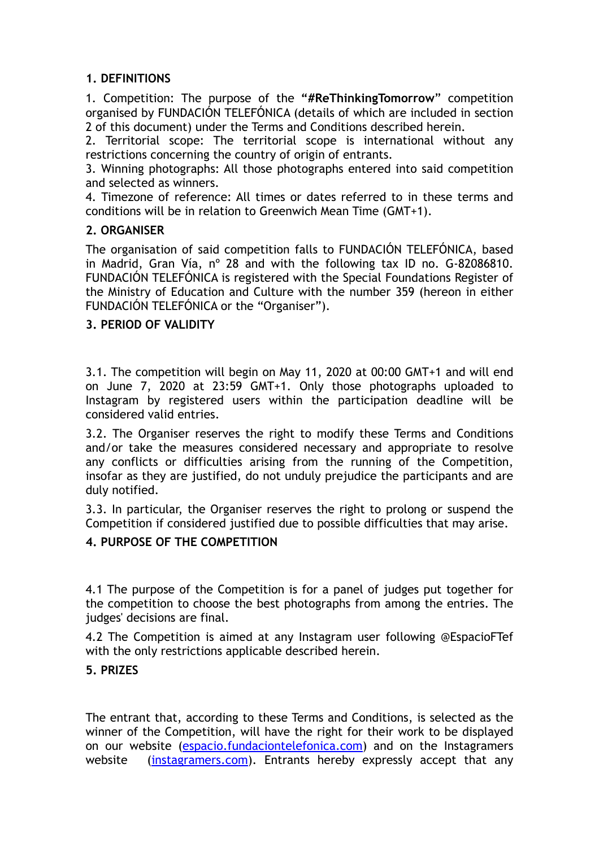## **1. DEFINITIONS**

1. Competition: The purpose of the **"#ReThinkingTomorrow**" competition organised by FUNDACIÓN TELEFÓNICA (details of which are included in section 2 of this document) under the Terms and Conditions described herein.

2. Territorial scope: The territorial scope is international without any restrictions concerning the country of origin of entrants.

3. Winning photographs: All those photographs entered into said competition and selected as winners.

4. Timezone of reference: All times or dates referred to in these terms and conditions will be in relation to Greenwich Mean Time (GMT+1).

## **2. ORGANISER**

The organisation of said competition falls to FUNDACIÓN TELEFÓNICA, based in Madrid, Gran Vía, nº 28 and with the following tax ID no. G-82086810. FUNDACIÓN TELEFÓNICA is registered with the Special Foundations Register of the Ministry of Education and Culture with the number 359 (hereon in either FUNDACIÓN TELEFÓNICA or the "Organiser").

### **3. PERIOD OF VALIDITY**

3.1. The competition will begin on May 11, 2020 at 00:00 GMT+1 and will end on June 7, 2020 at 23:59 GMT+1. Only those photographs uploaded to Instagram by registered users within the participation deadline will be considered valid entries.

3.2. The Organiser reserves the right to modify these Terms and Conditions and/or take the measures considered necessary and appropriate to resolve any conflicts or difficulties arising from the running of the Competition, insofar as they are justified, do not unduly prejudice the participants and are duly notified.

3.3. In particular, the Organiser reserves the right to prolong or suspend the Competition if considered justified due to possible difficulties that may arise.

### **4. PURPOSE OF THE COMPETITION**

4.1 The purpose of the Competition is for a panel of judges put together for the competition to choose the best photographs from among the entries. The judges' decisions are final.

4.2 The Competition is aimed at any Instagram user following @EspacioFTef with the only restrictions applicable described herein.

### **5. PRIZES**

The entrant that, according to these Terms and Conditions, is selected as the winner of the Competition, will have the right for their work to be displayed on our website [\(espacio.fundaciontelefonica.com](http://www.espacio.fundaciontelefonica.com)) and on the Instagramers website ([instagramers.com](http://www.instagramers.com)). Entrants hereby expressly accept that any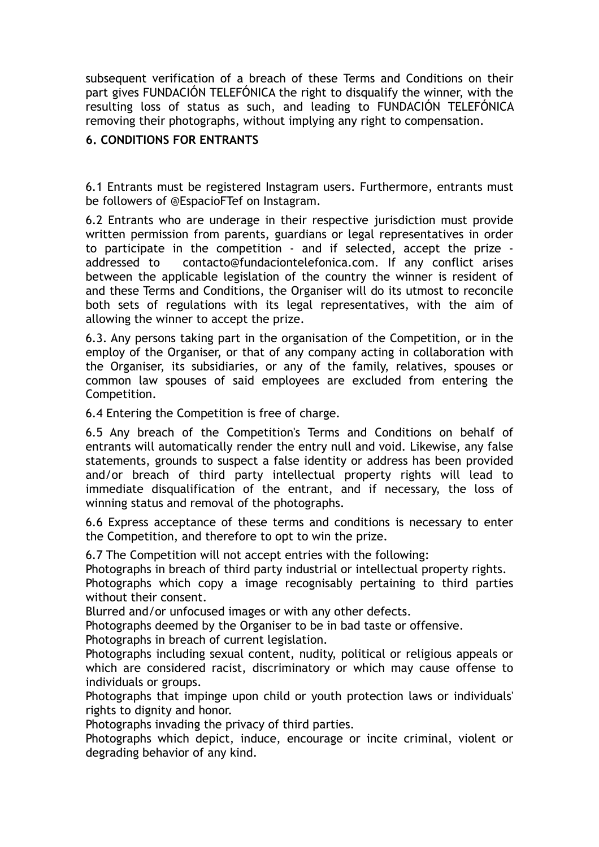subsequent verification of a breach of these Terms and Conditions on their part gives FUNDACIÓN TELEFÓNICA the right to disqualify the winner, with the resulting loss of status as such, and leading to FUNDACIÓN TELEFÓNICA removing their photographs, without implying any right to compensation.

# **6. CONDITIONS FOR ENTRANTS**

6.1 Entrants must be registered Instagram users. Furthermore, entrants must be followers of @EspacioFTef on Instagram.

6.2 Entrants who are underage in their respective jurisdiction must provide written permission from parents, guardians or legal representatives in order to participate in the competition - and if selected, accept the prize addressed to contacto@fundaciontelefonica.com. If any conflict arises between the applicable legislation of the country the winner is resident of and these Terms and Conditions, the Organiser will do its utmost to reconcile both sets of regulations with its legal representatives, with the aim of allowing the winner to accept the prize.

6.3. Any persons taking part in the organisation of the Competition, or in the employ of the Organiser, or that of any company acting in collaboration with the Organiser, its subsidiaries, or any of the family, relatives, spouses or common law spouses of said employees are excluded from entering the Competition.

6.4 Entering the Competition is free of charge.

6.5 Any breach of the Competition's Terms and Conditions on behalf of entrants will automatically render the entry null and void. Likewise, any false statements, grounds to suspect a false identity or address has been provided and/or breach of third party intellectual property rights will lead to immediate disqualification of the entrant, and if necessary, the loss of winning status and removal of the photographs.

6.6 Express acceptance of these terms and conditions is necessary to enter the Competition, and therefore to opt to win the prize.

6.7 The Competition will not accept entries with the following:

Photographs in breach of third party industrial or intellectual property rights.

Photographs which copy a image recognisably pertaining to third parties without their consent.

Blurred and/or unfocused images or with any other defects.

Photographs deemed by the Organiser to be in bad taste or offensive.

Photographs in breach of current legislation.

Photographs including sexual content, nudity, political or religious appeals or which are considered racist, discriminatory or which may cause offense to individuals or groups.

Photographs that impinge upon child or youth protection laws or individuals' rights to dignity and honor.

Photographs invading the privacy of third parties.

Photographs which depict, induce, encourage or incite criminal, violent or degrading behavior of any kind.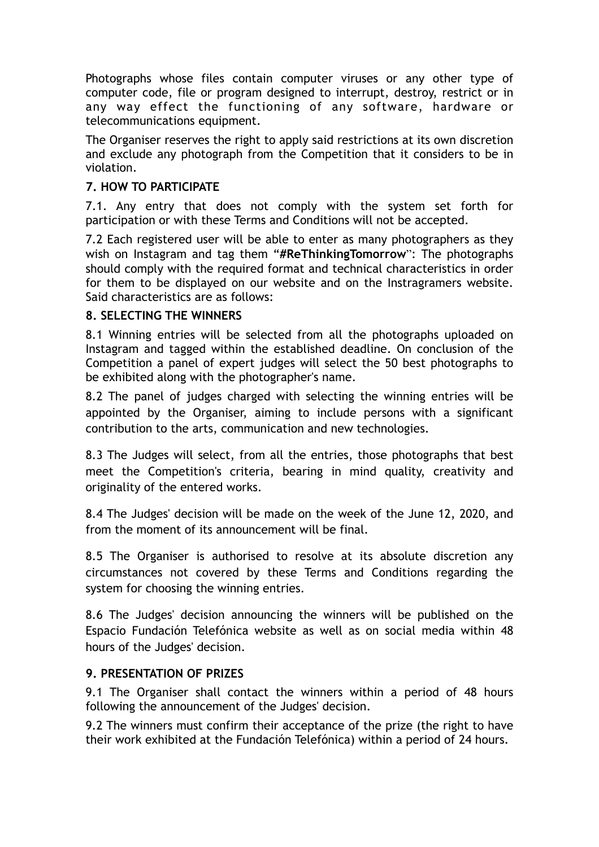Photographs whose files contain computer viruses or any other type of computer code, file or program designed to interrupt, destroy, restrict or in any way effect the functioning of any software, hardware or telecommunications equipment.

The Organiser reserves the right to apply said restrictions at its own discretion and exclude any photograph from the Competition that it considers to be in violation.

# **7. HOW TO PARTICIPATE**

7.1. Any entry that does not comply with the system set forth for participation or with these Terms and Conditions will not be accepted.

7.2 Each registered user will be able to enter as many photographers as they wish on Instagram and tag them "**#ReThinkingTomorrow**": The photographs should comply with the required format and technical characteristics in order for them to be displayed on our website and on the Instragramers website. Said characteristics are as follows:

## **8. SELECTING THE WINNERS**

8.1 Winning entries will be selected from all the photographs uploaded on Instagram and tagged within the established deadline. On conclusion of the Competition a panel of expert judges will select the 50 best photographs to be exhibited along with the photographer's name.

8.2 The panel of judges charged with selecting the winning entries will be appointed by the Organiser, aiming to include persons with a significant contribution to the arts, communication and new technologies.

8.3 The Judges will select, from all the entries, those photographs that best meet the Competition's criteria, bearing in mind quality, creativity and originality of the entered works.

8.4 The Judges' decision will be made on the week of the June 12, 2020, and from the moment of its announcement will be final.

8.5 The Organiser is authorised to resolve at its absolute discretion any circumstances not covered by these Terms and Conditions regarding the system for choosing the winning entries.

8.6 The Judges' decision announcing the winners will be published on the Espacio Fundación Telefónica website as well as on social media within 48 hours of the Judges' decision.

## **9. PRESENTATION OF PRIZES**

9.1 The Organiser shall contact the winners within a period of 48 hours following the announcement of the Judges' decision.

9.2 The winners must confirm their acceptance of the prize (the right to have their work exhibited at the Fundación Telefónica) within a period of 24 hours.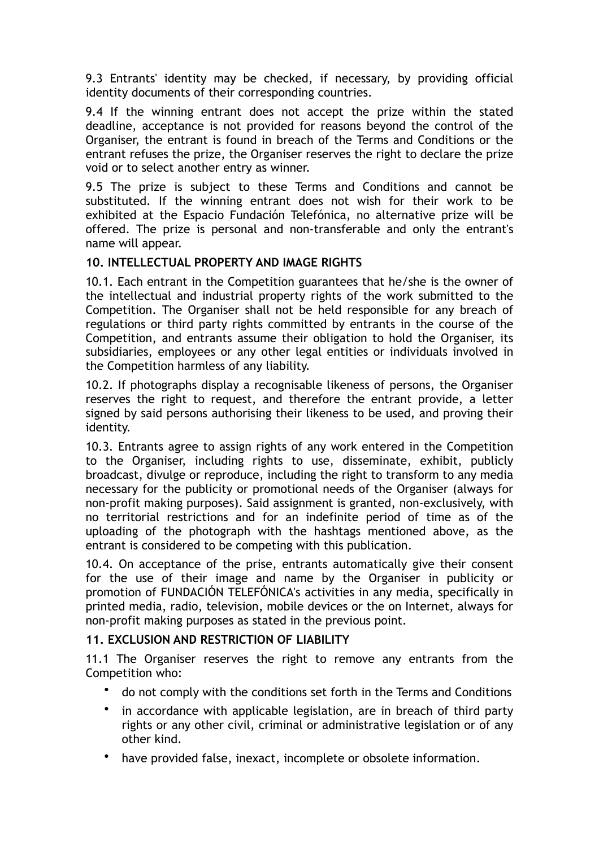9.3 Entrants' identity may be checked, if necessary, by providing official identity documents of their corresponding countries.

9.4 If the winning entrant does not accept the prize within the stated deadline, acceptance is not provided for reasons beyond the control of the Organiser, the entrant is found in breach of the Terms and Conditions or the entrant refuses the prize, the Organiser reserves the right to declare the prize void or to select another entry as winner.

9.5 The prize is subject to these Terms and Conditions and cannot be substituted. If the winning entrant does not wish for their work to be exhibited at the Espacio Fundación Telefónica, no alternative prize will be offered. The prize is personal and non-transferable and only the entrant's name will appear.

## **10. INTELLECTUAL PROPERTY AND IMAGE RIGHTS**

10.1. Each entrant in the Competition guarantees that he/she is the owner of the intellectual and industrial property rights of the work submitted to the Competition. The Organiser shall not be held responsible for any breach of regulations or third party rights committed by entrants in the course of the Competition, and entrants assume their obligation to hold the Organiser, its subsidiaries, employees or any other legal entities or individuals involved in the Competition harmless of any liability.

10.2. If photographs display a recognisable likeness of persons, the Organiser reserves the right to request, and therefore the entrant provide, a letter signed by said persons authorising their likeness to be used, and proving their identity.

10.3. Entrants agree to assign rights of any work entered in the Competition to the Organiser, including rights to use, disseminate, exhibit, publicly broadcast, divulge or reproduce, including the right to transform to any media necessary for the publicity or promotional needs of the Organiser (always for non-profit making purposes). Said assignment is granted, non-exclusively, with no territorial restrictions and for an indefinite period of time as of the uploading of the photograph with the hashtags mentioned above, as the entrant is considered to be competing with this publication.

10.4. On acceptance of the prise, entrants automatically give their consent for the use of their image and name by the Organiser in publicity or promotion of FUNDACIÓN TELEFÓNICA's activities in any media, specifically in printed media, radio, television, mobile devices or the on Internet, always for non-profit making purposes as stated in the previous point.

### **11. EXCLUSION AND RESTRICTION OF LIABILITY**

11.1 The Organiser reserves the right to remove any entrants from the Competition who:

- do not comply with the conditions set forth in the Terms and Conditions
- in accordance with applicable legislation, are in breach of third party rights or any other civil, criminal or administrative legislation or of any other kind.
- have provided false, inexact, incomplete or obsolete information.